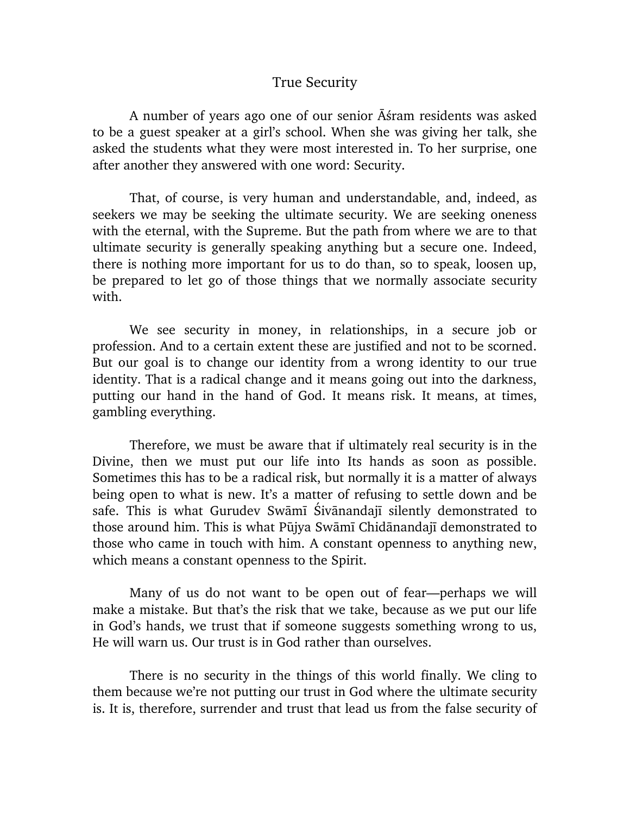## True Security

A number of years ago one of our senior  $\overline{A}$  stram residents was asked to be a guest speaker at a girl's school. When she was giving her talk, she asked the students what they were most interested in. To her surprise, one after another they answered with one word: Security.

That, of course, is very human and understandable, and, indeed, as seekers we may be seeking the ultimate security. We are seeking oneness with the eternal, with the Supreme. But the path from where we are to that ultimate security is generally speaking anything but a secure one. Indeed, there is nothing more important for us to do than, so to speak, loosen up, be prepared to let go of those things that we normally associate security with.

We see security in money, in relationships, in a secure job or profession. And to a certain extent these are justified and not to be scorned. But our goal is to change our identity from a wrong identity to our true identity. That is a radical change and it means going out into the darkness, putting our hand in the hand of God. It means risk. It means, at times, gambling everything.

Therefore, we must be aware that if ultimately real security is in the Divine, then we must put our life into Its hands as soon as possible. Sometimes this has to be a radical risk, but normally it is a matter of always being open to what is new. It's a matter of refusing to settle down and be safe. This is what Gurudev Swāmī Śivānandajī silently demonstrated to those around him. This is what Pūjya Swāmī Chidānandajī demonstrated to those who came in touch with him. A constant openness to anything new, which means a constant openness to the Spirit.

Many of us do not want to be open out of fear—perhaps we will make a mistake. But that's the risk that we take, because as we put our life in God's hands, we trust that if someone suggests something wrong to us, He will warn us. Our trust is in God rather than ourselves.

There is no security in the things of this world finally. We cling to them because we're not putting our trust in God where the ultimate security is. It is, therefore, surrender and trust that lead us from the false security of